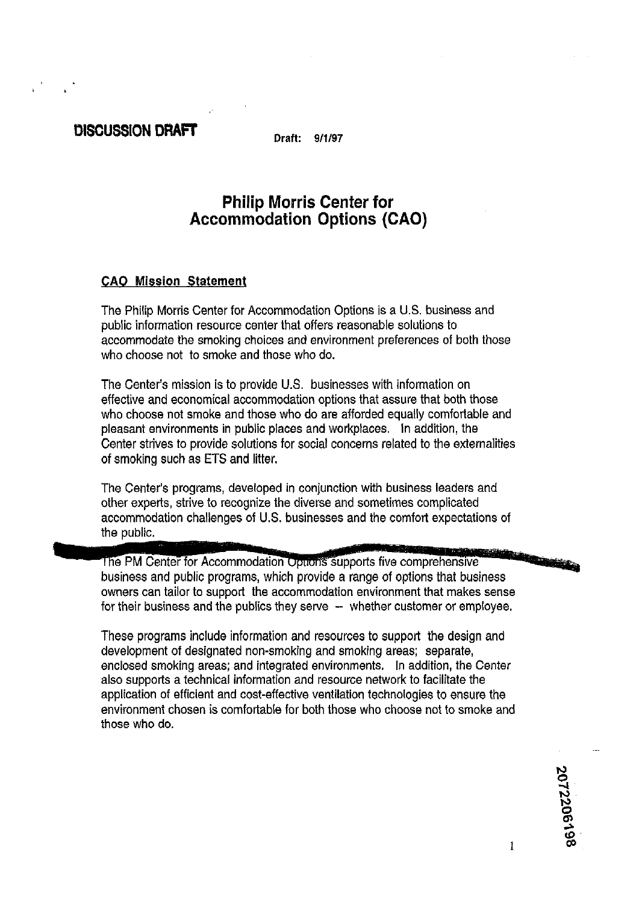# DISCUSSION DRAFT

**Draft: 9/1/97** 

# **Philip Morris Center for Accommodation Options (CAO)**

## **CAO Mission Statement**

The Philip Morris Center for Accommodation Options is a U.S. business and public information resource center that offers reasonable solutions to accommodate the smoking choices and environment preferences of both those who choose not to smoke and those who do.

The Center's mission is to provide U.S. businesses with information on effective and economical accommodation options that assure that both those who choose not smoke and those who do are afforded equally comfortable and pleasant environments in public places and workplaces. In addition, the Center strives to provide solutions for social concerns related to the externalities of smoking such as ETS and litter.

The Center's programs, developed in conjunction with business leaders and other experts, strive to recognize the diverse and sometimes complicated accommodation challenges of U.S. businesses and the comfort expectations of the public.

**The County** The PM Center for Accommodation Option's supports five comprehensive business and public programs, which provide a range of options that business owners can tailor to support the accommodation environment that makes sense for their business and the publics they serve -- whether customer or employee.

These programs include information and resources to support the design and development of designated non-smoking and smoking areas; separate, enclosed smoking areas; and integrated environments. In addition, the Center also supports a technical information and resource network to facilitate the application of efficient and cost-effective ventilation technologies to ensure the environment chosen is comfortable for both those who choose not to smoke and those who do.

2072206198

1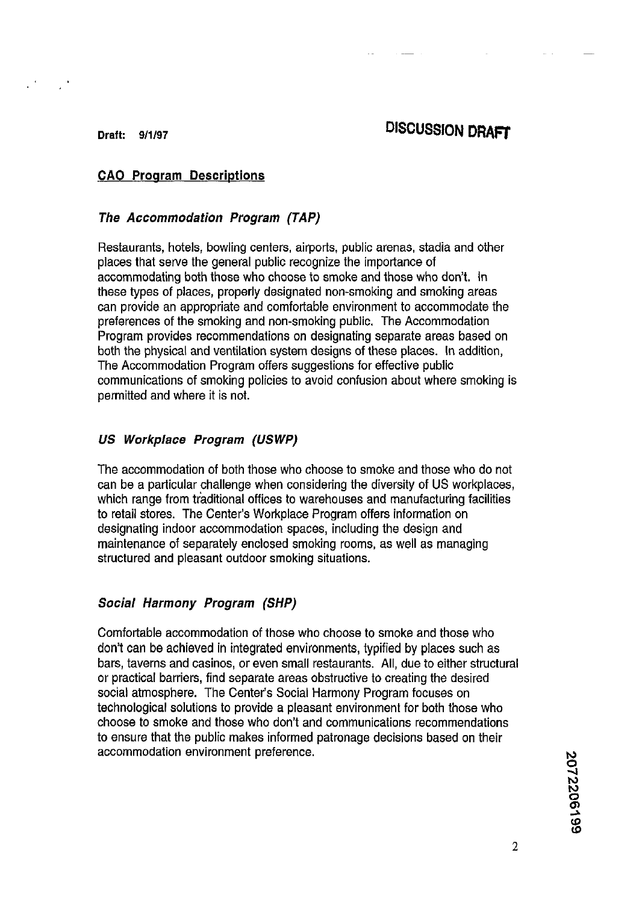# **Draft: 9/1/97 DISCUSSION DRAFT**

 $\mathbb{R}^3$ 

## **CAO Program Descriptions**

### **The Accommodation Program (TAP)**

Restaurants, hotels, bowling centers, airports, public arenas, stadia and other places that serve the general public recognize the importance of accommodating both those who choose to smoke and those who don't. In these types of places, properly designated non-smoking and smoking areas can provide an appropriate and comfortable environment to accommodate the preferences of the smoking and non-smoking public. The Accommodation Program provides recommendations on designating separate areas based on both the physical and ventilation system designs of these places. In addition, The Accommodation Program offers suggestions for effective public communications of smoking policies to avoid confusion about where smoking is permitted and where it is not.

#### **US Workplace Program (USWP)**

The accommodation of both those who choose to smoke and those who do not can be a particular challenge when considering the diversity of US workplaces, which range from traditional offices to warehouses and manufacturing facilities to retail stores. The Center's Workplace Program offers information on designating indoor accommodation spaces, including the design and maintenance of separately enclosed smoking rooms, as well as managing structured and pleasant outdoor smoking situations.

### **Social Harmony Program (SHP)**

Comfortable accommodation of those who choose to smoke and those who don't can be achieved in integrated environments, typified by places such as bars, taverns and casinos, or even small restaurants. All, due to either structural or practical barriers, find separate areas obstructive to creating the desired social atmosphere. The Center's Social Harmony Program focuses on technological solutions to provide a pleasant environment for both those who choose to smoke and those who don't and communications recommendations to ensure that the public makes informed patronage decisions based on their accommodation environment preference.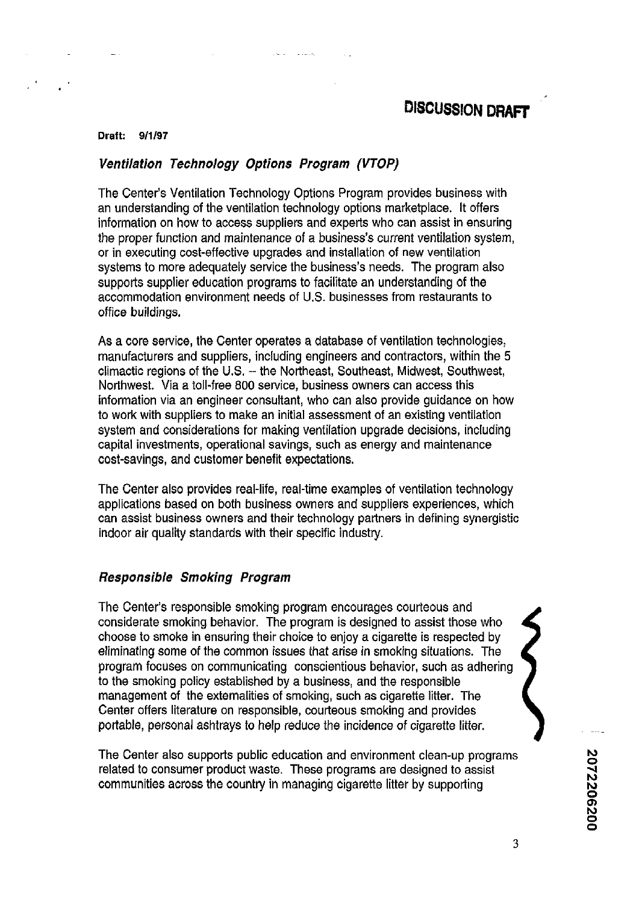#### **Draft: 9/1/97**

#### **Ventilation Technology Options Program (VTOP)**

The Center's Ventilation Technology Options Program provides business with an understanding of the ventilation technology options marketplace. It offers information on how to access suppliers and experts who can assist in ensuring the proper function and maintenance of a business's current ventilation system, or in executing cost-effective upgrades and installation of new ventilation systems to more adequately service the business's needs. The program also supports supplier education programs to facilitate an understanding of the accommodation environment needs of U.S. businesses from restaurants to office buildings.

As a core service, the Center operates a database of ventilation technologies, manufacturers and suppliers, including engineers and contractors, within the **5**  climactic reaions of the U.S. -- the Northeast. Southeast. Midwest. Southwest. Northwest. Via a toll-free 800 service, business owners can access this information via an engineer consultant, who can also provide guidance on how to work with suppliers to make an initial assessment of an existing ventilation system and considerations for making ventilation upgrade decisions, including capital investments, operational savings, such as energy and maintenance cost-savings, and customer benefit expectations.

The Center also provides real-life, real-time examples of ventilation technology applications based on both business owners and suppliers experiences, which can assist business owners and their technology partners in defining synergistic indoor air quality standards with their specific industry.

#### **Responsible Smoking Program**

The Center's responsible smoking program encourages courteous and considerate smoking behavior. The program is designed to assist those who choose to smoke in ensuring their choice to enjoy a cigarette is respected by eliminating some of the common issues that arise in smoking situations. The program focuses on communicating conscientious behavior, such as adhering to the smoking policy established by a business, and the responsible management of the externalities of smoking, such as cigarette litter. The Center offers literature on responsible, courteous smoking and provides portable, personal ashtrays to help reduce the incidence of cigarette litter.

The Center also supports public education and environment clean-up programs<br> **2 • Product Product waste. These programs are designed to assist** related to consumer product waste. These programs are designed to assist communities across the country in managing cigarette litter by supporting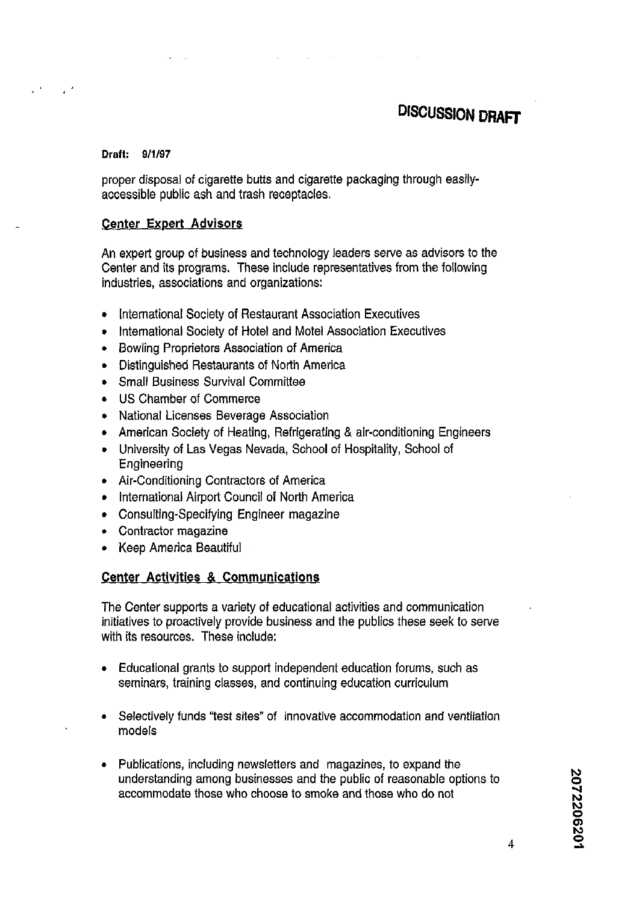# **DISCUSSION DRAfT**

#### **Draft: 9/1/97**

proper disposal of cigarette butts and cigarette packaging through easilyaccessible public ash and trash receptacles.

#### **Center Expert** Advisors

An expert group of business and technology leaders serve as advisors to the Center and its programs. These include representatives from the following industries, associations and organizations:

- International Society of Restaurant Association Executives  $\bullet$
- International Society of Hotel and Motel Association Executives  $\bullet$
- Bowling Proprietors Association of America  $\bullet$
- Distinguished Restaurants of North America  $\bullet$
- Small Business Survival Committee  $\bullet$
- US Chamber of Commerce
- National Licenses Beverage Association
- American Society of Heating, Refrigerating & air-conditioning Engineers
- University of Las Vegas Nevada, School of Hospitality, School of Engineering
- Air-Conditioning Contractors of America
- International Airport Council of North America
- Consulting-Specifying Engineer magazine  $\bullet$
- Contractor magazine
- Keep America Beautiful  $\bullet$

### Center Activities & Communications

The Center supports a variety of educational activities and communication initiatives to proactively provide business and the publics these seek to serve with its resources. These include:

- Educational grants to support independent education forums, such as seminars, training classes, and continuing education curriculum
- **a** Selectively funds 'test sites" of innovative accommodation and ventilation models
- Publications, including newsletters and magazines, to expand the understanding among businesses and the public of reasonable options to accommodate those who choose to smoke and those who do not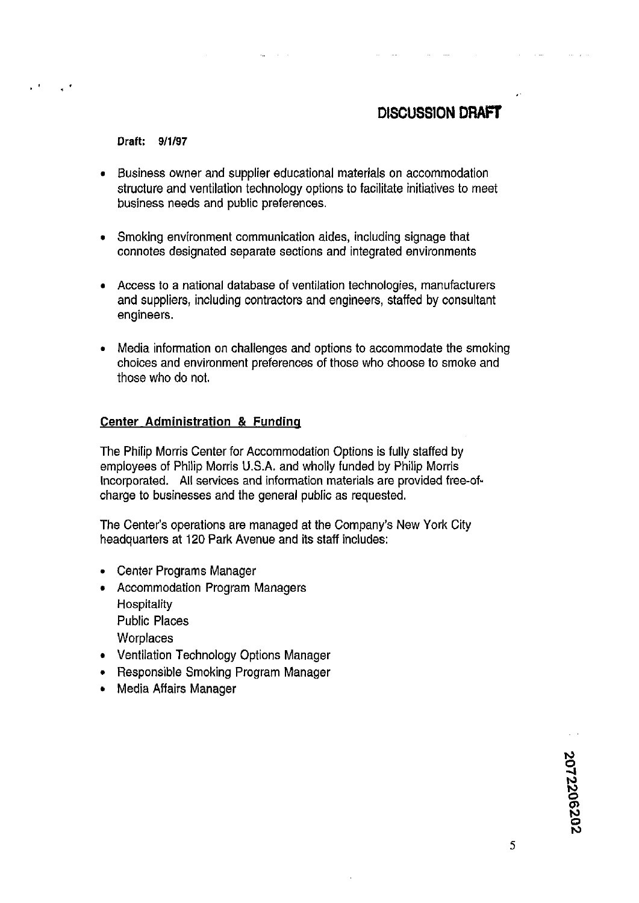# **DISCUSSION DRAFT**

#### Draft: **9/1/97**

- Business owner and supplier educational materials on accommodation  $\bullet$ structure and ventilation technology options to facilitate initiatives to meet business needs and public preferences.
- Smoking environment communication aides, including signage that connotes designated separate sections and integrated environments
- **a** Access to a national database of ventilation technologies, manufacturers and suppliers, including contractors and engineers, staffed by consultant engineers.
- Media information on challenges and options to accommodate the smoking  $\bullet$ choices and environment preferences of those who choose to smoke and those who do not.

#### Center Administration & Fundinq

The Philip Morris Center for Accommodation Options is fully staffed by employees of Philip Morris U.S.A, and wholly funded by Philip Morris Incorporated. All services and information materials are provided free-ofcharge to businesses and the general public as requested.

The Center's operations are managed at the Company's New York City headquarters at 120 Park Avenue and its staff includes:

- Center Programs Manager
- Accommodation Program Managers **Hospitality** Public Places **Worplaces**
- **Ventilation Technology Options Manager**
- Responsible Smoking Program Manager
- Media Affairs Manager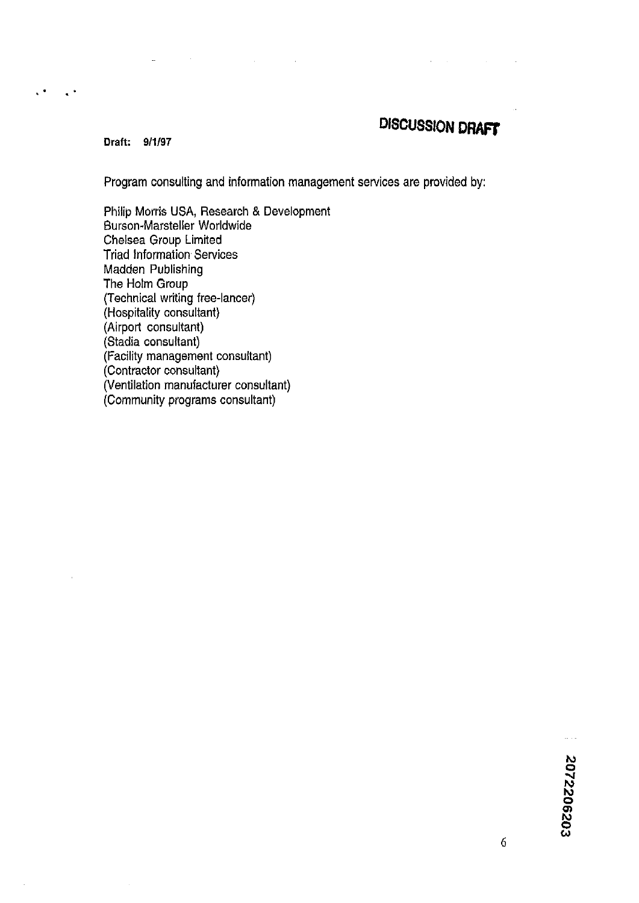# **DISCUSSION DRAFT**

**Draft: 9/1/97** 

 $\ddot{\phantom{1}}$ 

 $\ddot{\phantom{a}}$ 

Program consulting and information management services are provided by:

Philip Morris USA, Research & Development Burson-Marsteller Worldwide Chelsea Group Limited Triad Information. Services Madden Publishing The Holm Group (Technical writing free-lancer) (Hospitality consultant) (Airport consultant) (Stadia consultant) (Facility management consultant) (Contractor consultant) (Ventilation manufacturer consultant) (Community programs consultant)